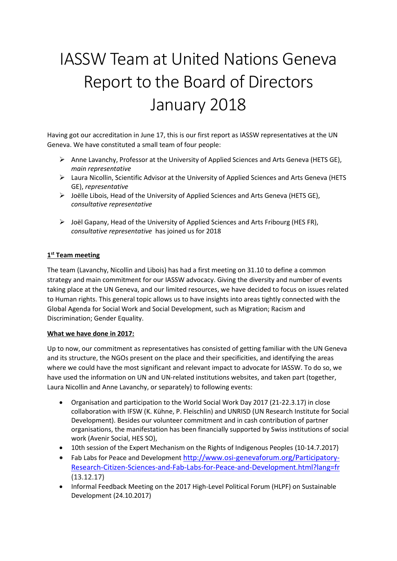# IASSW Team at United Nations Geneva Report to the Board of Directors January 2018

Having got our accreditation in June 17, this is our first report as IASSW representatives at the UN Geneva. We have constituted a small team of four people:

- $\triangleright$  Anne Lavanchy, Professor at the University of Applied Sciences and Arts Geneva (HETS GE), *main representative*
- $\triangleright$  Laura Nicollin, Scientific Advisor at the University of Applied Sciences and Arts Geneva (HETS GE), *representative*
- $\triangleright$  Joëlle Libois, Head of the University of Applied Sciences and Arts Geneva (HETS GE), *consultative representative*
- $\triangleright$  Joël Gapany, Head of the University of Applied Sciences and Arts Fribourg (HES FR), *consultative representative* has joined us for 2018

## **1 st Team meeting**

The team (Lavanchy, Nicollin and Libois) has had a first meeting on 31.10 to define a common strategy and main commitment for our IASSW advocacy. Giving the diversity and number of events taking place at the UN Geneva, and our limited resources, we have decided to focus on issues related to Human rights. This general topic allows us to have insights into areas tightly connected with the Global Agenda for Social Work and Social Development, such as Migration; Racism and Discrimination; Gender Equality.

### **What we have done in 2017:**

Up to now, our commitment as representatives has consisted of getting familiar with the UN Geneva and its structure, the NGOs present on the place and their specificities, and identifying the areas where we could have the most significant and relevant impact to advocate for IASSW. To do so, we have used the information on UN and UN-related institutions websites, and taken part (together, Laura Nicollin and Anne Lavanchy, or separately) to following events:

- Organisation and participation to the World Social Work Day 2017 (21-22.3.17) in close collaboration with IFSW (K. Kühne, P. Fleischlin) and UNRISD (UN Research Institute for Social Development). Besides our volunteer commitment and in cash contribution of partner organisations, the manifestation has been financially supported by Swiss institutions of social work (Avenir Social, HES SO),
- 10th session of the Expert Mechanism on the Rights of Indigenous Peoples (10-14.7.2017)
- Fab Labs for Peace and Development [http://www.osi-genevaforum.org/Participatory-](http://www.osi-genevaforum.org/Participatory-Research-Citizen-Sciences-and-Fab-Labs-for-Peace-and-Development.html?lang=fr)[Research-Citizen-Sciences-and-Fab-Labs-for-Peace-and-Development.html?lang=fr](http://www.osi-genevaforum.org/Participatory-Research-Citizen-Sciences-and-Fab-Labs-for-Peace-and-Development.html?lang=fr) (13.12.17)
- Informal Feedback Meeting on the 2017 High-Level Political Forum (HLPF) on Sustainable Development (24.10.2017)